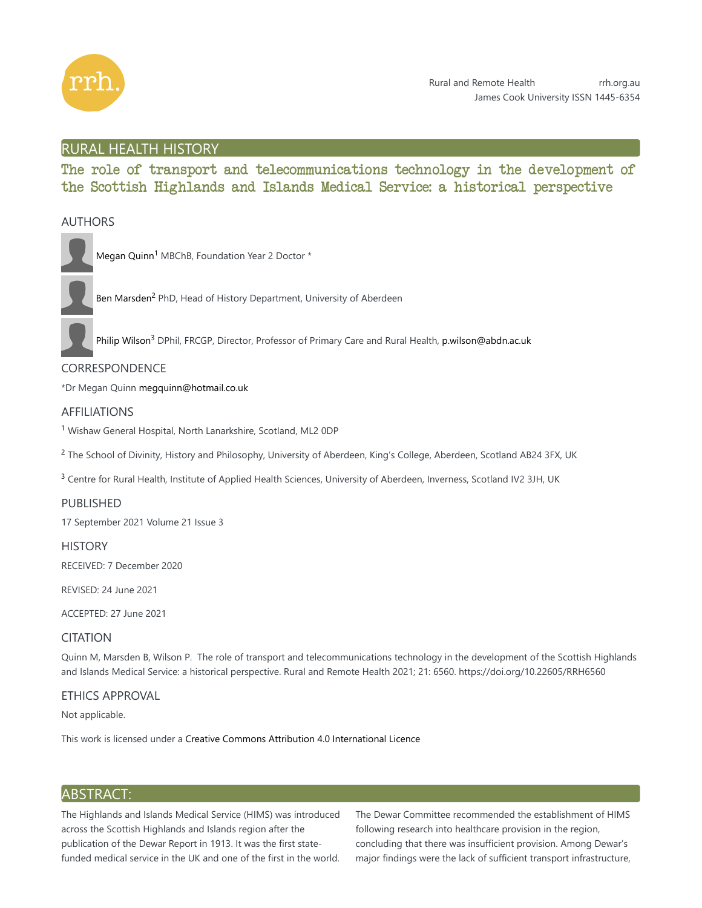

# RURAL HEALTH HISTORY

The role of transport and telecommunications technology in the development of the Scottish Highlands and Islands Medical Service: a historical perspective

# AUTHORS



Megan Quinn<sup>1</sup> MBChB, Foundation Year 2 Doctor \*

Ben Marsden<sup>2</sup> PhD, Head of History Department, University of Aberdeen

Philip Wilson<sup>3</sup> DPhil, FRCGP, Director, Professor of Primary Care and Rural Health, p.wilson@abdn.ac.uk

# CORRESPONDENCE

\*Dr Megan Quinn megquinn@hotmail.co.uk

# AFFILIATIONS

<sup>1</sup> Wishaw General Hospital, North Lanarkshire, Scotland, ML2 0DP

<sup>2</sup> The School of Divinity, History and Philosophy, University of Aberdeen, King's College, Aberdeen, Scotland AB24 3FX, UK

 $3$  Centre for Rural Health, Institute of Applied Health Sciences, University of Aberdeen, Inverness, Scotland IV2 3JH, UK

## PUBLISHED

17 September 2021 Volume 21 Issue 3

**HISTORY** 

RECEIVED: 7 December 2020

REVISED: 24 June 2021

ACCEPTED: 27 June 2021

## CITATION

Quinn M, Marsden B, Wilson P. The role of transport and telecommunications technology in the development of the Scottish Highlands and Islands Medical Service: a historical perspective. Rural and Remote Health 2021; 21: 6560. https://doi.org/10.22605/RRH6560

## ETHICS APPROVAL

Not applicable.

This work is licensed under a Creative Commons Attribution 4.0 International Licence

# ABSTRACT:

The Highlands and Islands Medical Service (HIMS) was introduced across the Scottish Highlands and Islands region after the publication of the Dewar Report in 1913. It was the first statefunded medical service in the UK and one of the first in the world. The Dewar Committee recommended the establishment of HIMS following research into healthcare provision in the region, concluding that there was insufficient provision. Among Dewar's major findings were the lack of sufficient transport infrastructure,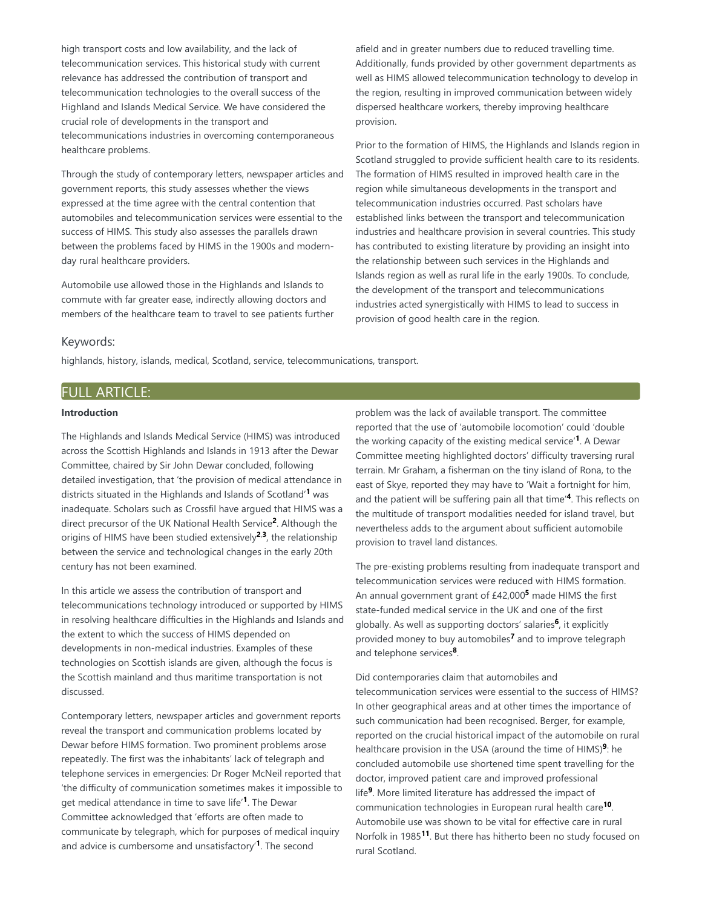high transport costs and low availability, and the lack of telecommunication services. This historical study with current relevance has addressed the contribution of transport and telecommunication technologies to the overall success of the Highland and Islands Medical Service. We have considered the crucial role of developments in the transport and telecommunications industries in overcoming contemporaneous healthcare problems.

Through the study of contemporary letters, newspaper articles and government reports, this study assesses whether the views expressed at the time agree with the central contention that automobiles and telecommunication services were essential to the success of HIMS. This study also assesses the parallels drawn between the problems faced by HIMS in the 1900s and modernday rural healthcare providers.

Automobile use allowed those in the Highlands and Islands to commute with far greater ease, indirectly allowing doctors and members of the healthcare team to travel to see patients further afield and in greater numbers due to reduced travelling time. Additionally, funds provided by other government departments as well as HIMS allowed telecommunication technology to develop in the region, resulting in improved communication between widely dispersed healthcare workers, thereby improving healthcare provision.

Prior to the formation of HIMS, the Highlands and Islands region in Scotland struggled to provide sufficient health care to its residents. The formation of HIMS resulted in improved health care in the region while simultaneous developments in the transport and telecommunication industries occurred. Past scholars have established links between the transport and telecommunication industries and healthcare provision in several countries. This study has contributed to existing literature by providing an insight into the relationship between such services in the Highlands and Islands region as well as rural life in the early 1900s. To conclude, the development of the transport and telecommunications industries acted synergistically with HIMS to lead to success in provision of good health care in the region.

#### Keywords:

highlands, history, islands, medical, Scotland, service, telecommunications, transport.

# FULL ARTICLE:

#### **Introduction**

The Highlands and Islands Medical Service (HIMS) was introduced across the Scottish Highlands and Islands in 1913 after the Dewar Committee, chaired by Sir John Dewar concluded, following detailed investigation, that 'the provision of medical attendance in districts situated in the Highlands and Islands of Scotland'<sup>1</sup> was inadequate. Scholars such as Crossfil have argued that HIMS was a direct precursor of the UK National Health Service<sup>2</sup>. Although the origins of HIMS have been studied extensively $2.3$ , the relationship between the service and technological changes in the early 20th century has not been examined.

In this article we assess the contribution of transport and telecommunications technology introduced or supported by HIMS in resolving healthcare difficulties in the Highlands and Islands and the extent to which the success of HIMS depended on developments in non-medical industries. Examples of these technologies on Scottish islands are given, although the focus is the Scottish mainland and thus maritime transportation is not discussed.

Contemporary letters, newspaper articles and government reports reveal the transport and communication problems located by Dewar before HIMS formation. Two prominent problems arose repeatedly. The first was the inhabitants' lack of telegraph and telephone services in emergencies: Dr Roger McNeil reported that 'the difficulty of communication sometimes makes it impossible to get medical attendance in time to save life'<sup>1</sup>. The Dewar Committee acknowledged that 'efforts are often made to communicate by telegraph, which for purposes of medical inquiry and advice is cumbersome and unsatisfactory'<sup>1</sup>. The second

problem was the lack of available transport. The committee reported that the use of 'automobile locomotion' could 'double the working capacity of the existing medical service'<sup>1</sup>. A Dewar Committee meeting highlighted doctors' difficulty traversing rural terrain. Mr Graham, a fisherman on the tiny island of Rona, to the east of Skye, reported they may have to 'Wait a fortnight for him, and the patient will be suffering pain all that time'<sup>4</sup>. This reflects on the multitude of transport modalities needed for island travel, but nevertheless adds to the argument about sufficient automobile provision to travel land distances.

The pre-existing problems resulting from inadequate transport and telecommunication services were reduced with HIMS formation. An annual government grant of £42,000<sup>5</sup> made HIMS the first state-funded medical service in the UK and one of the first globally. As well as supporting doctors' salaries<sup>6</sup>, it explicitly provided money to buy automobiles<sup>7</sup> and to improve telegraph and telephone services<sup>8</sup>.

Did contemporaries claim that automobiles and telecommunication services were essential to the success of HIMS? In other geographical areas and at other times the importance of such communication had been recognised. Berger, for example, reported on the crucial historical impact of the automobile on rural healthcare provision in the USA (around the time of HIMS)<sup>9</sup>: he concluded automobile use shortened time spent travelling for the doctor, improved patient care and improved professional life<sup>9</sup>. More limited literature has addressed the impact of communication technologies in European rural health care<sup>10</sup>. Automobile use was shown to be vital for effective care in rural Norfolk in 1985<sup>11</sup>. But there has hitherto been no study focused on rural Scotland.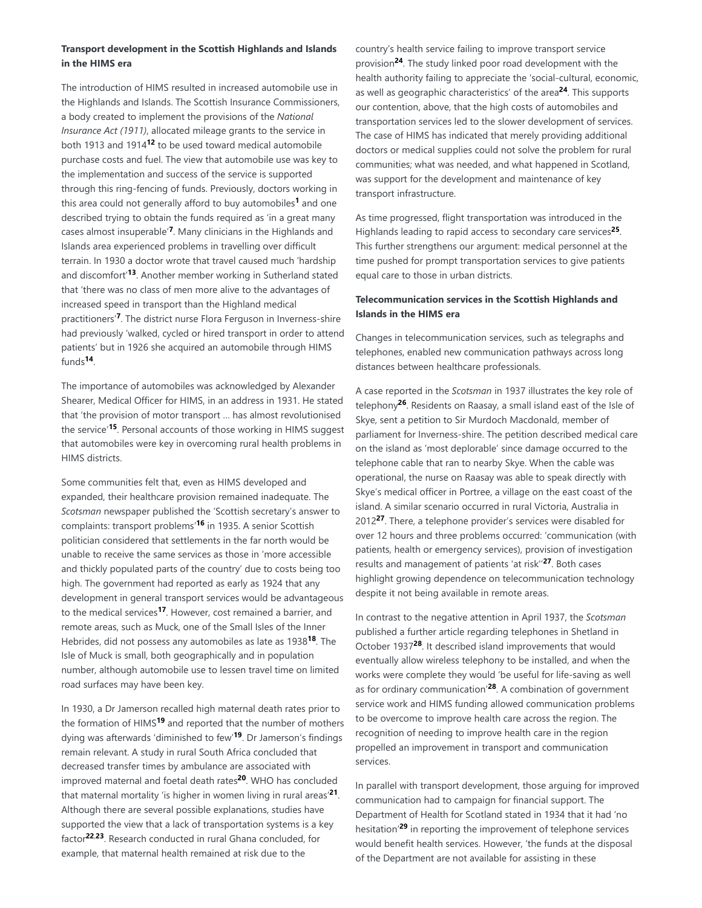## **Transport development in the Scottish Highlands and Islands in the HIMS era**

The introduction of HIMS resulted in increased automobile use in the Highlands and Islands. The Scottish Insurance Commissioners, a body created to implement the provisions of the *National Insurance Act (1911)*, allocated mileage grants to the service in both 1913 and 1914<sup>12</sup> to be used toward medical automobile purchase costs and fuel. The view that automobile use was key to the implementation and success of the service is supported through this ring-fencing of funds. Previously, doctors working in this area could not generally afford to buy automobiles<sup>1</sup> and one described trying to obtain the funds required as 'in a great many cases almost insuperable<sup>'7</sup>. Many clinicians in the Highlands and Islands area experienced problems in travelling over difficult terrain. In 1930 a doctor wrote that travel caused much 'hardship and discomfort<sup>'13</sup>. Another member working in Sutherland stated that 'there was no class of men more alive to the advantages of increased speed in transport than the Highland medical practitioners<sup>'7</sup>. The district nurse Flora Ferguson in Inverness-shire had previously 'walked, cycled or hired transport in order to attend patients' but in 1926 she acquired an automobile through HIMS funds . **14**

The importance of automobiles was acknowledged by Alexander Shearer, Medical Officer for HIMS, in an address in 1931. He stated that 'the provision of motor transport … has almost revolutionised the service'<sup>15</sup>. Personal accounts of those working in HIMS suggest that automobiles were key in overcoming rural health problems in HIMS districts.

Some communities felt that, even as HIMS developed and expanded, their healthcare provision remained inadequate. The *Scotsman* newspaper published the 'Scottish secretary's answer to complaints: transport problems<sup>'16</sup> in 1935. A senior Scottish politician considered that settlements in the far north would be unable to receive the same services as those in 'more accessible and thickly populated parts of the country' due to costs being too high. The government had reported as early as 1924 that any development in general transport services would be advantageous to the medical services<sup>17</sup>. However, cost remained a barrier, and remote areas, such as Muck, one of the Small Isles of the Inner Hebrides, did not possess any automobiles as late as 1938<sup>18</sup>. The Isle of Muck is small, both geographically and in population number, although automobile use to lessen travel time on limited road surfaces may have been key.

In 1930, a Dr Jamerson recalled high maternal death rates prior to the formation of HIMS<sup>19</sup> and reported that the number of mothers dying was afterwards 'diminished to few'<sup>19</sup>. Dr Jamerson's findings remain relevant. A study in rural South Africa concluded that decreased transfer times by ambulance are associated with improved maternal and foetal death rates<sup>20</sup>. WHO has concluded that maternal mortality 'is higher in women living in rural areas'<sup>21</sup>. Although there are several possible explanations, studies have supported the view that a lack of transportation systems is a key factor<sup>22,23</sup>. Research conducted in rural Ghana concluded, for example, that maternal health remained at risk due to the

country's health service failing to improve transport service provision<sup>24</sup>. The study linked poor road development with the health authority failing to appreciate the 'social-cultural, economic, as well as geographic characteristics' of the area<sup>24</sup>. This supports our contention, above, that the high costs of automobiles and transportation services led to the slower development of services. The case of HIMS has indicated that merely providing additional doctors or medical supplies could not solve the problem for rural communities; what was needed, and what happened in Scotland, was support for the development and maintenance of key transport infrastructure.

As time progressed, flight transportation was introduced in the Highlands leading to rapid access to secondary care services<sup>25</sup>. This further strengthens our argument: medical personnel at the time pushed for prompt transportation services to give patients equal care to those in urban districts.

### **Telecommunication services in the Scottish Highlands and Islands in the HIMS era**

Changes in telecommunication services, such as telegraphs and telephones, enabled new communication pathways across long distances between healthcare professionals.

A case reported in the *Scotsman* in 1937 illustrates the key role of telephony<sup>26</sup>. Residents on Raasay, a small island east of the Isle of Skye, sent a petition to Sir Murdoch Macdonald, member of parliament for Inverness-shire. The petition described medical care on the island as 'most deplorable' since damage occurred to the telephone cable that ran to nearby Skye. When the cable was operational, the nurse on Raasay was able to speak directly with Skye's medical officer in Portree, a village on the east coast of the island. A similar scenario occurred in rural Victoria, Australia in 2012<sup>27</sup>. There, a telephone provider's services were disabled for over 12 hours and three problems occurred: 'communication (with patients, health or emergency services), provision of investigation results and management of patients 'at risk"<sup>27</sup>. Both cases highlight growing dependence on telecommunication technology despite it not being available in remote areas.

In contrast to the negative attention in April 1937, the *Scotsman* published a further article regarding telephones in Shetland in October 1937<sup>28</sup>. It described island improvements that would eventually allow wireless telephony to be installed, and when the works were complete they would 'be useful for life-saving as well as for ordinary communication<sup>'28</sup>. A combination of government service work and HIMS funding allowed communication problems to be overcome to improve health care across the region. The recognition of needing to improve health care in the region propelled an improvement in transport and communication services.

In parallel with transport development, those arguing for improved communication had to campaign for financial support. The Department of Health for Scotland stated in 1934 that it had 'no hesitation'<sup>29</sup> in reporting the improvement of telephone services would benefit health services. However, 'the funds at the disposal of the Department are not available for assisting in these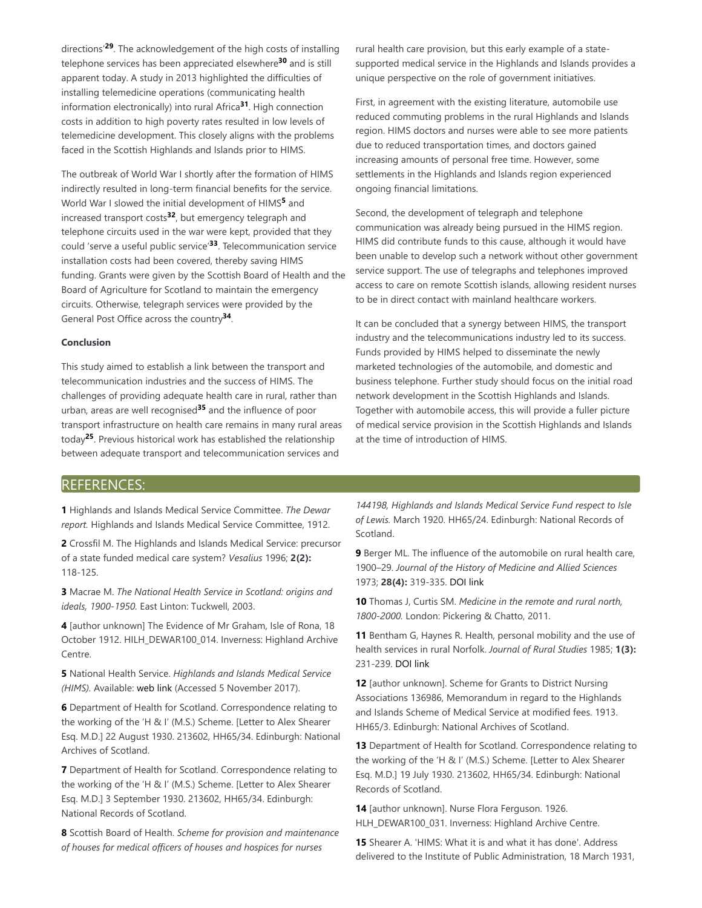directions<sup>'29</sup>. The acknowledgement of the high costs of installing telephone services has been appreciated elsewhere<sup>30</sup> and is still apparent today. A study in 2013 highlighted the difficulties of installing telemedicine operations (communicating health information electronically) into rural Africa<sup>31</sup>. High connection costs in addition to high poverty rates resulted in low levels of telemedicine development. This closely aligns with the problems faced in the Scottish Highlands and Islands prior to HIMS.

The outbreak of World War I shortly after the formation of HIMS indirectly resulted in long-term financial benefits for the service. World War I slowed the initial development of HIMS<sup>5</sup> and increased transport costs<sup>32</sup>, but emergency telegraph and telephone circuits used in the war were kept, provided that they could 'serve a useful public service<sup>'33</sup>. Telecommunication service installation costs had been covered, thereby saving HIMS funding. Grants were given by the Scottish Board of Health and the Board of Agriculture for Scotland to maintain the emergency circuits. Otherwise, telegraph services were provided by the General Post Office across the country<sup>34</sup>.

#### **Conclusion**

This study aimed to establish a link between the transport and telecommunication industries and the success of HIMS. The challenges of providing adequate health care in rural, rather than urban, areas are well recognised<sup>35</sup> and the influence of poor transport infrastructure on health care remains in many rural areas today<sup>25</sup>. Previous historical work has established the relationship between adequate transport and telecommunication services and

rural health care provision, but this early example of a statesupported medical service in the Highlands and Islands provides a unique perspective on the role of government initiatives.

First, in agreement with the existing literature, automobile use reduced commuting problems in the rural Highlands and Islands region. HIMS doctors and nurses were able to see more patients due to reduced transportation times, and doctors gained increasing amounts of personal free time. However, some settlements in the Highlands and Islands region experienced ongoing financial limitations.

Second, the development of telegraph and telephone communication was already being pursued in the HIMS region. HIMS did contribute funds to this cause, although it would have been unable to develop such a network without other government service support. The use of telegraphs and telephones improved access to care on remote Scottish islands, allowing resident nurses to be in direct contact with mainland healthcare workers.

It can be concluded that a synergy between HIMS, the transport industry and the telecommunications industry led to its success. Funds provided by HIMS helped to disseminate the newly marketed technologies of the automobile, and domestic and business telephone. Further study should focus on the initial road network development in the Scottish Highlands and Islands. Together with automobile access, this will provide a fuller picture of medical service provision in the Scottish Highlands and Islands at the time of introduction of HIMS.

# REFERENCES:

**1** Highlands and Islands Medical Service Committee. *The Dewar report.* Highlands and Islands Medical Service Committee, 1912.

**2** Crossfil M. The Highlands and Islands Medical Service: precursor of a state funded medical care system? *Vesalius* 1996; **2(2):** 118-125.

**3** Macrae M. *The National Health Service in Scotland: origins and ideals, 1900-1950.* East Linton: Tuckwell, 2003.

**4** [author unknown] The Evidence of Mr Graham, Isle of Rona, 18 October 1912. HILH\_DEWAR100\_014. Inverness: Highland Archive Centre.

**5** National Health Service. *Highlands and Islands Medical Service (HIMS).* Available: web link (Accessed 5 November 2017).

**6** Department of Health for Scotland. Correspondence relating to the working of the 'H & I' (M.S.) Scheme. [Letter to Alex Shearer Esq. M.D.] 22 August 1930. 213602, HH65/34. Edinburgh: National Archives of Scotland.

**7** Department of Health for Scotland. Correspondence relating to the working of the 'H & I' (M.S.) Scheme. [Letter to Alex Shearer Esq. M.D.] 3 September 1930. 213602, HH65/34. Edinburgh: National Records of Scotland.

**8** Scottish Board of Health. *Scheme for provision and maintenance of houses for medical officers of houses and hospices for nurses*

*144198, Highlands and Islands Medical Service Fund respect to Isle of Lewis.* March 1920. HH65/24. Edinburgh: National Records of Scotland.

**9** Berger ML. The influence of the automobile on rural health care, 1900–29. *Journal of the History of Medicine and Allied Sciences* 1973; **28(4):** 319-335. DOI link

**10** Thomas J, Curtis SM. *Medicine in the remote and rural north, 1800-2000.* London: Pickering & Chatto, 2011.

**11** Bentham G, Haynes R. Health, personal mobility and the use of health services in rural Norfolk. *Journal of Rural Studies* 1985; **1(3):** 231-239. DOI link

**12** [author unknown]. Scheme for Grants to District Nursing Associations 136986, Memorandum in regard to the Highlands and Islands Scheme of Medical Service at modified fees. 1913. HH65/3. Edinburgh: National Archives of Scotland.

**13** Department of Health for Scotland. Correspondence relating to the working of the 'H & I' (M.S.) Scheme. [Letter to Alex Shearer Esq. M.D.] 19 July 1930. 213602, HH65/34. Edinburgh: National Records of Scotland.

**14** [author unknown]. Nurse Flora Ferguson. 1926. HLH\_DEWAR100\_031. Inverness: Highland Archive Centre.

**15** Shearer A. 'HIMS: What it is and what it has done'. Address delivered to the Institute of Public Administration, 18 March 1931,